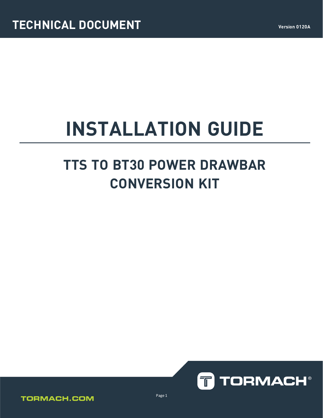# **INSTALLATION GUIDE**

# **TTS TO BT30 POWER DRAWBAR CONVERSION KIT**





Page 1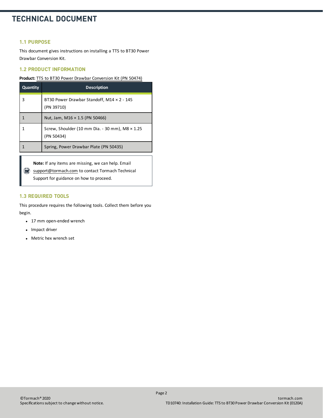### **TECHNICAL DOCUMENT**

#### **1.1 PURPOSE**

This document gives instructions on installing a TTS to BT30 Power Drawbar Conversion Kit.

#### **1.2 PRODUCT INFORMATION**

#### **Product:** TTS to BT30 Power Drawbar [Conversion](https://www.tormach.com/part/50474) Kit (PN 50474)

| <b>Quantity</b> | <b>Description</b>                                                   |
|-----------------|----------------------------------------------------------------------|
| 3               | BT30 Power Drawbar Standoff, M14 × 2 - 145<br>(PN 39710)             |
|                 | Nut, Jam, M16 $\times$ 1.5 (PN 50466)                                |
| 1               | Screw, Shoulder (10 mm Dia. - 30 mm), M8 $\times$ 1.25<br>(PN 50434) |
|                 | Spring, Power Drawbar Plate (PN 50435)                               |
|                 |                                                                      |

**Note:** If any items are missing, we can help. Email [support@tormach.com](mailto:support@tormach.com) to contact Tormach Technical Support for guidance on how to proceed.

#### **1.3 REQUIRED TOOLS**

This procedure requires the following tools. Collect them before you begin.

- 17 mm open-ended wrench
- Impact driver
- Metric hex wrench set